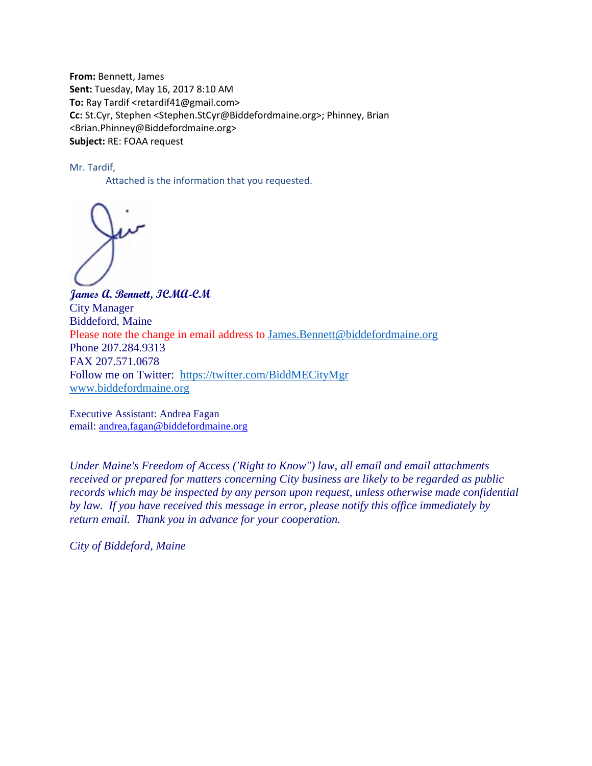**From:** Bennett, James **Sent:** Tuesday, May 16, 2017 8:10 AM **To:** Ray Tardif <retardif41@gmail.com> **Cc:** St.Cyr, Stephen <Stephen.StCyr@Biddefordmaine.org>; Phinney, Brian <Brian.Phinney@Biddefordmaine.org> **Subject:** RE: FOAA request

Mr. Tardif,

Attached is the information that you requested.

**James A. Bennett, ICMA-CM** City Manager Biddeford, Maine Please note the change in email address to [James.Bennett@biddefordmaine.org](mailto:James.Bennett@biddefordmaine.org) Phone 207.284.9313 FAX 207.571.0678 Follow me on Twitter: <https://twitter.com/BiddMECityMgr> [www.biddefordmaine.org](http://www.biddefordmaine.org/)

Executive Assistant: Andrea Fagan email: [andrea,fagan@biddefordmaine.org](mailto:afagan@biddefordmaine.org)

*Under Maine's Freedom of Access ('Right to Know") law, all email and email attachments received or prepared for matters concerning City business are likely to be regarded as public records which may be inspected by any person upon request, unless otherwise made confidential by law. If you have received this message in error, please notify this office immediately by return email. Thank you in advance for your cooperation.*

*City of Biddeford, Maine*